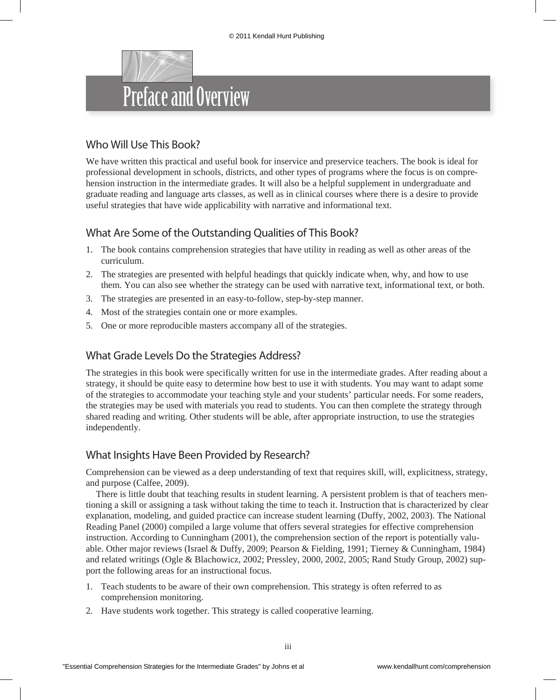

### Who Will Use This Book?

We have written this practical and useful book for inservice and preservice teachers. The book is ideal for professional development in schools, districts, and other types of programs where the focus is on comprehension instruction in the intermediate grades. It will also be a helpful supplement in undergraduate and graduate reading and language arts classes, as well as in clinical courses where there is a desire to provide useful strategies that have wide applicability with narrative and informational text.

# What Are Some of the Outstanding Qualities of This Book?

- 1. The book contains comprehension strategies that have utility in reading as well as other areas of the curriculum.
- 2. The strategies are presented with helpful headings that quickly indicate when, why, and how to use them. You can also see whether the strategy can be used with narrative text, informational text, or both.
- 3. The strategies are presented in an easy-to-follow, step-by-step manner.
- 4. Most of the strategies contain one or more examples.
- 5. One or more reproducible masters accompany all of the strategies.

## What Grade Levels Do the Strategies Address?

The strategies in this book were specifically written for use in the intermediate grades. After reading about a strategy, it should be quite easy to determine how best to use it with students. You may want to adapt some of the strategies to accommodate your teaching style and your students' particular needs. For some readers, the strategies may be used with materials you read to students. You can then complete the strategy through shared reading and writing. Other students will be able, after appropriate instruction, to use the strategies independently.

## What Insights Have Been Provided by Research?

Comprehension can be viewed as a deep understanding of text that requires skill, will, explicitness, strategy, and purpose (Calfee, 2009).

There is little doubt that teaching results in student learning. A persistent problem is that of teachers mentioning a skill or assigning a task without taking the time to teach it. Instruction that is characterized by clear explanation, modeling, and guided practice can increase student learning (Duffy, 2002, 2003). The National Reading Panel (2000) compiled a large volume that offers several strategies for effective comprehension instruction. According to Cunningham (2001), the comprehension section of the report is potentially valuable. Other major reviews (Israel & Duffy, 2009; Pearson & Fielding, 1991; Tierney & Cunningham, 1984) and related writings (Ogle & Blachowicz, 2002; Pressley, 2000, 2002, 2005; Rand Study Group, 2002) support the following areas for an instructional focus.

- 1. Teach students to be aware of their own comprehension. This strategy is often referred to as comprehension monitoring.
- 2. Have students work together. This strategy is called cooperative learning.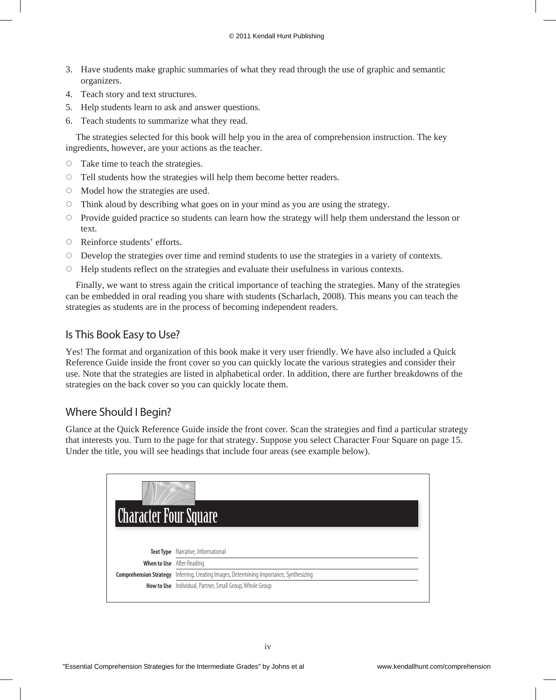- 3. Have students make graphic summaries of what they read through the use of graphic and semantic organizers.
- 4. Teach story and text structures.
- 5. Help students learn to ask and answer questions.
- 6. Teach students to summarize what they read.

The strategies selected for this book will help you in the area of comprehension instruction. The key ingredients, however, are your actions as the teacher.

- Take time to teach the strategies.
- Tell students how the strategies will help them become better readers.
- Model how the strategies are used.
- $\circ$  Think aloud by describing what goes on in your mind as you are using the strategy.
- Provide guided practice so students can learn how the strategy will help them understand the lesson or text.
- Reinforce students' efforts.
- Develop the strategies over time and remind students to use the strategies in a variety of contexts.
- $\circ$  Help students reflect on the strategies and evaluate their usefulness in various contexts.

Finally, we want to stress again the critical importance of teaching the strategies. Many of the strategies can be embedded in oral reading you share with students (Scharlach, 2008). This means you can teach the strategies as students are in the process of becoming independent readers.

#### Is This Book Easy to Use?

Yes! The format and organization of this book make it very user friendly. We have also included a Quick Reference Guide inside the front cover so you can quickly locate the various strategies and consider their use. Note that the strategies are listed in alphabetical order. In addition, there are further breakdowns of the strategies on the back cover so you can quickly locate them.

#### Where Should I Begin?

Glance at the Quick Reference Guide inside the front cover. Scan the strategies and find a particular strategy that interests you. Turn to the page for that strategy. Suppose you select Character Four Square on page 15. Under the title, you will see headings that include four areas (see example below).

| <b>Character Four Square</b>  |                                                                  |  |
|-------------------------------|------------------------------------------------------------------|--|
|                               | Text Type Narrative, Informational                               |  |
| When to Use After Reading     |                                                                  |  |
| <b>Comprehension Strategy</b> | Inferring, Creating Images, Determining Importance, Synthesizing |  |
|                               | How to Use Individual, Partner, Small Group, Whole Group         |  |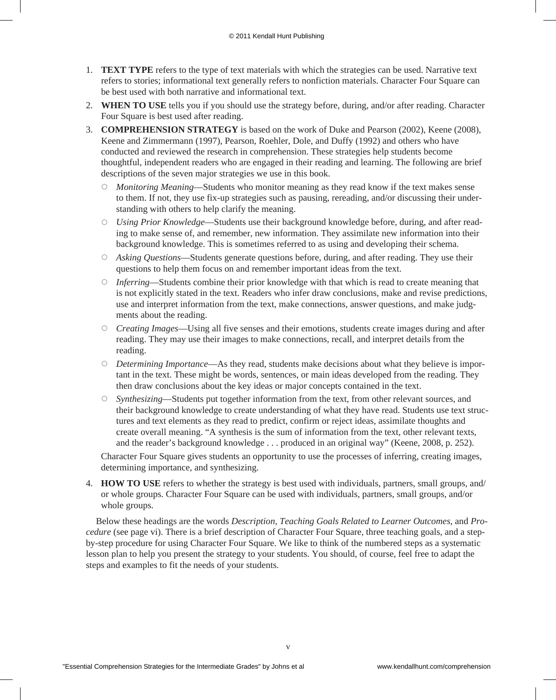- 1. **TEXT TYPE** refers to the type of text materials with which the strategies can be used. Narrative text refers to stories; informational text generally refers to nonfiction materials. Character Four Square can be best used with both narrative and informational text.
- 2. **WHEN TO USE** tells you if you should use the strategy before, during, and/or after reading. Character Four Square is best used after reading.
- 3. **COMPREHENSION STRATEGY** is based on the work of Duke and Pearson (2002), Keene (2008), Keene and Zimmermann (1997), Pearson, Roehler, Dole, and Duffy (1992) and others who have conducted and reviewed the research in comprehension. These strategies help students become thoughtful, independent readers who are engaged in their reading and learning. The following are brief descriptions of the seven major strategies we use in this book.
	- *Monitoring Meaning*—Students who monitor meaning as they read know if the text makes sense to them. If not, they use fix-up strategies such as pausing, rereading, and/or discussing their understanding with others to help clarify the meaning.
	- *Using Prior Knowledge*—Students use their background knowledge before, during, and after reading to make sense of, and remember, new information. They assimilate new information into their background knowledge. This is sometimes referred to as using and developing their schema.
	- *Asking Questions*—Students generate questions before, during, and after reading. They use their questions to help them focus on and remember important ideas from the text.
	- *Inferring*—Students combine their prior knowledge with that which is read to create meaning that is not explicitly stated in the text. Readers who infer draw conclusions, make and revise predictions, use and interpret information from the text, make connections, answer questions, and make judgments about the reading.
	- *Creating Images*—Using all five senses and their emotions, students create images during and after reading. They may use their images to make connections, recall, and interpret details from the reading.
	- *Determining Importance*—As they read, students make decisions about what they believe is important in the text. These might be words, sentences, or main ideas developed from the reading. They then draw conclusions about the key ideas or major concepts contained in the text.
	- *Synthesizing*—Students put together information from the text, from other relevant sources, and their background knowledge to create understanding of what they have read. Students use text structures and text elements as they read to predict, confirm or reject ideas, assimilate thoughts and create overall meaning. "A synthesis is the sum of information from the text, other relevant texts, and the reader's background knowledge . . . produced in an original way" (Keene, 2008, p. 252).

Character Four Square gives students an opportunity to use the processes of inferring, creating images, determining importance, and synthesizing.

4. **HOW TO USE** refers to whether the strategy is best used with individuals, partners, small groups, and/ or whole groups. Character Four Square can be used with individuals, partners, small groups, and/or whole groups.

Below these headings are the words *Description*, *Teaching Goals Related to Learner Outcomes*, and *Procedure* (see page vi). There is a brief description of Character Four Square, three teaching goals, and a stepby-step procedure for using Character Four Square. We like to think of the numbered steps as a systematic lesson plan to help you present the strategy to your students. You should, of course, feel free to adapt the steps and examples to fit the needs of your students.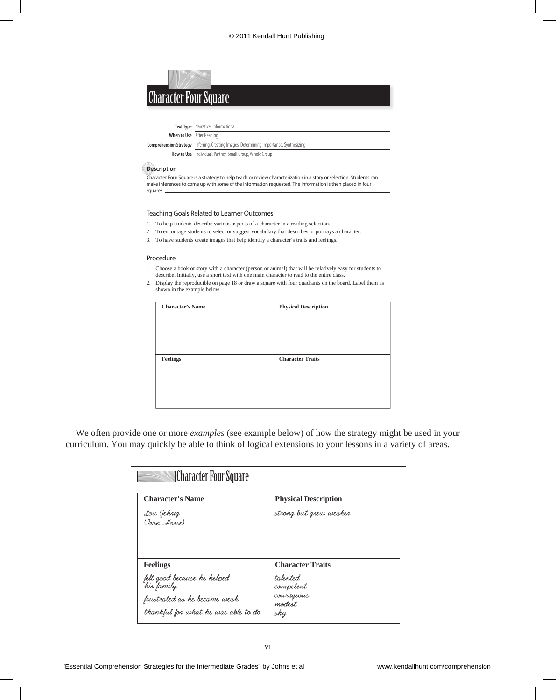

We often provide one or more *examples* (see example below) of how the strategy might be used in your curriculum. You may quickly be able to think of logical extensions to your lessons in a variety of areas.

| Character Four Square                                                                                            |                                                       |
|------------------------------------------------------------------------------------------------------------------|-------------------------------------------------------|
| <b>Character's Name</b><br>Lou Gehrig<br>(Iron Horse)                                                            | <b>Physical Description</b><br>strong but grew weaker |
| <b>Feelings</b>                                                                                                  | <b>Character Traits</b>                               |
| felt good because he helped<br>his family<br>frustrated as he became weak<br>thankful for what he was able to do | talented.<br>competent<br>courageous<br>modest<br>shy |